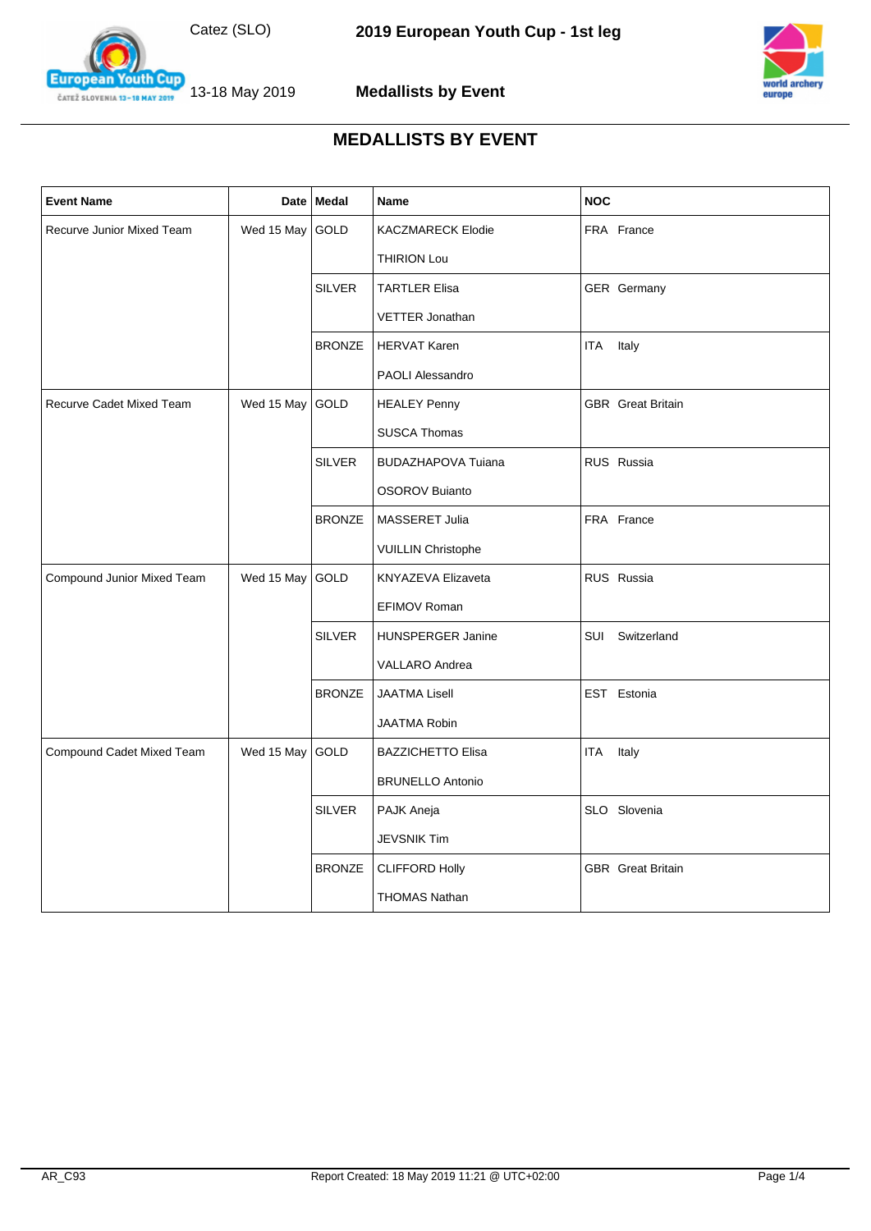



**European** outh Cup 13-18 May 2019 ČATEŽ SLOVENIA 13-18 MAY 2019

| <b>Event Name</b>          |            | Date Medal    | Name                      | <b>NOC</b>               |
|----------------------------|------------|---------------|---------------------------|--------------------------|
| Recurve Junior Mixed Team  | Wed 15 May | GOLD          | <b>KACZMARECK Elodie</b>  | FRA France               |
|                            |            |               | THIRION Lou               |                          |
|                            |            | <b>SILVER</b> | <b>TARTLER Elisa</b>      | GER Germany              |
|                            |            |               | VETTER Jonathan           |                          |
|                            |            | <b>BRONZE</b> | <b>HERVAT Karen</b>       | <b>ITA</b><br>Italy      |
|                            |            |               | PAOLI Alessandro          |                          |
| Recurve Cadet Mixed Team   | Wed 15 May | GOLD          | <b>HEALEY Penny</b>       | <b>GBR</b> Great Britain |
|                            |            |               | <b>SUSCA Thomas</b>       |                          |
|                            |            | <b>SILVER</b> | <b>BUDAZHAPOVA Tuiana</b> | RUS Russia               |
|                            |            |               | <b>OSOROV Buianto</b>     |                          |
|                            |            | <b>BRONZE</b> | MASSERET Julia            | FRA France               |
|                            |            |               | <b>VUILLIN Christophe</b> |                          |
| Compound Junior Mixed Team | Wed 15 May | GOLD          | KNYAZEVA Elizaveta        | RUS Russia               |
|                            |            |               | EFIMOV Roman              |                          |
|                            |            | <b>SILVER</b> | <b>HUNSPERGER Janine</b>  | SUI Switzerland          |
|                            |            |               | <b>VALLARO</b> Andrea     |                          |
|                            |            | <b>BRONZE</b> | <b>JAATMA Lisell</b>      | EST Estonia              |
|                            |            |               | <b>JAATMA Robin</b>       |                          |
| Compound Cadet Mixed Team  | Wed 15 May | GOLD          | <b>BAZZICHETTO Elisa</b>  | <b>ITA</b><br>Italy      |
|                            |            |               | <b>BRUNELLO Antonio</b>   |                          |
|                            |            | <b>SILVER</b> | PAJK Aneja                | SLO Slovenia             |
|                            |            |               | <b>JEVSNIK Tim</b>        |                          |
|                            |            | <b>BRONZE</b> | <b>CLIFFORD Holly</b>     | <b>GBR</b> Great Britain |
|                            |            |               | <b>THOMAS Nathan</b>      |                          |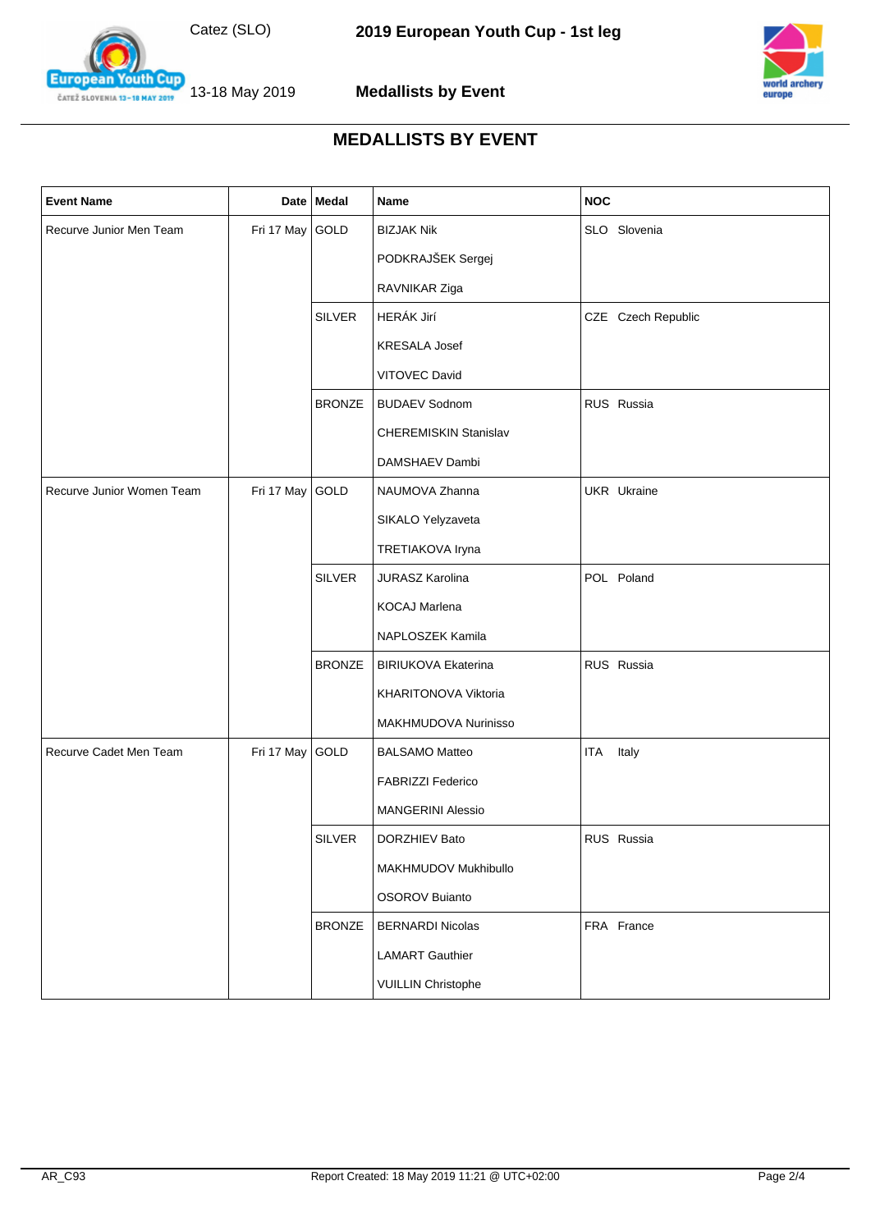



13-18 May 2019 ČATEŽ SLOVENIA 13-18 MAY 2019

**European Youth Cup** 

| <b>Event Name</b>         |                 | Date Medal    | Name                         | <b>NOC</b>          |
|---------------------------|-----------------|---------------|------------------------------|---------------------|
| Recurve Junior Men Team   | Fri 17 May GOLD |               | <b>BIZJAK Nik</b>            | SLO Slovenia        |
|                           |                 |               | PODKRAJŠEK Sergej            |                     |
|                           |                 |               | RAVNIKAR Ziga                |                     |
|                           |                 | <b>SILVER</b> | HERÁK Jirí                   | CZE Czech Republic  |
|                           |                 |               | <b>KRESALA Josef</b>         |                     |
|                           |                 |               | VITOVEC David                |                     |
|                           |                 | <b>BRONZE</b> | <b>BUDAEV Sodnom</b>         | RUS Russia          |
|                           |                 |               | <b>CHEREMISKIN Stanislav</b> |                     |
|                           |                 |               | DAMSHAEV Dambi               |                     |
| Recurve Junior Women Team | Fri 17 May      | GOLD          | NAUMOVA Zhanna               | <b>UKR</b> Ukraine  |
|                           |                 |               | SIKALO Yelyzaveta            |                     |
|                           |                 |               | TRETIAKOVA Iryna             |                     |
|                           |                 | <b>SILVER</b> | <b>JURASZ Karolina</b>       | POL Poland          |
|                           |                 |               | KOCAJ Marlena                |                     |
|                           |                 |               | NAPLOSZEK Kamila             |                     |
|                           |                 | <b>BRONZE</b> | <b>BIRIUKOVA Ekaterina</b>   | RUS Russia          |
|                           |                 |               | KHARITONOVA Viktoria         |                     |
|                           |                 |               | MAKHMUDOVA Nurinisso         |                     |
| Recurve Cadet Men Team    | Fri 17 May      | GOLD          | <b>BALSAMO Matteo</b>        | Italy<br><b>ITA</b> |
|                           |                 |               | FABRIZZI Federico            |                     |
|                           |                 |               | <b>MANGERINI Alessio</b>     |                     |
|                           |                 | <b>SILVER</b> | DORZHIEV Bato                | RUS Russia          |
|                           |                 |               | MAKHMUDOV Mukhibullo         |                     |
|                           |                 |               | <b>OSOROV Buianto</b>        |                     |
|                           |                 | <b>BRONZE</b> | <b>BERNARDI Nicolas</b>      | FRA France          |
|                           |                 |               | <b>LAMART Gauthier</b>       |                     |
|                           |                 |               | <b>VUILLIN Christophe</b>    |                     |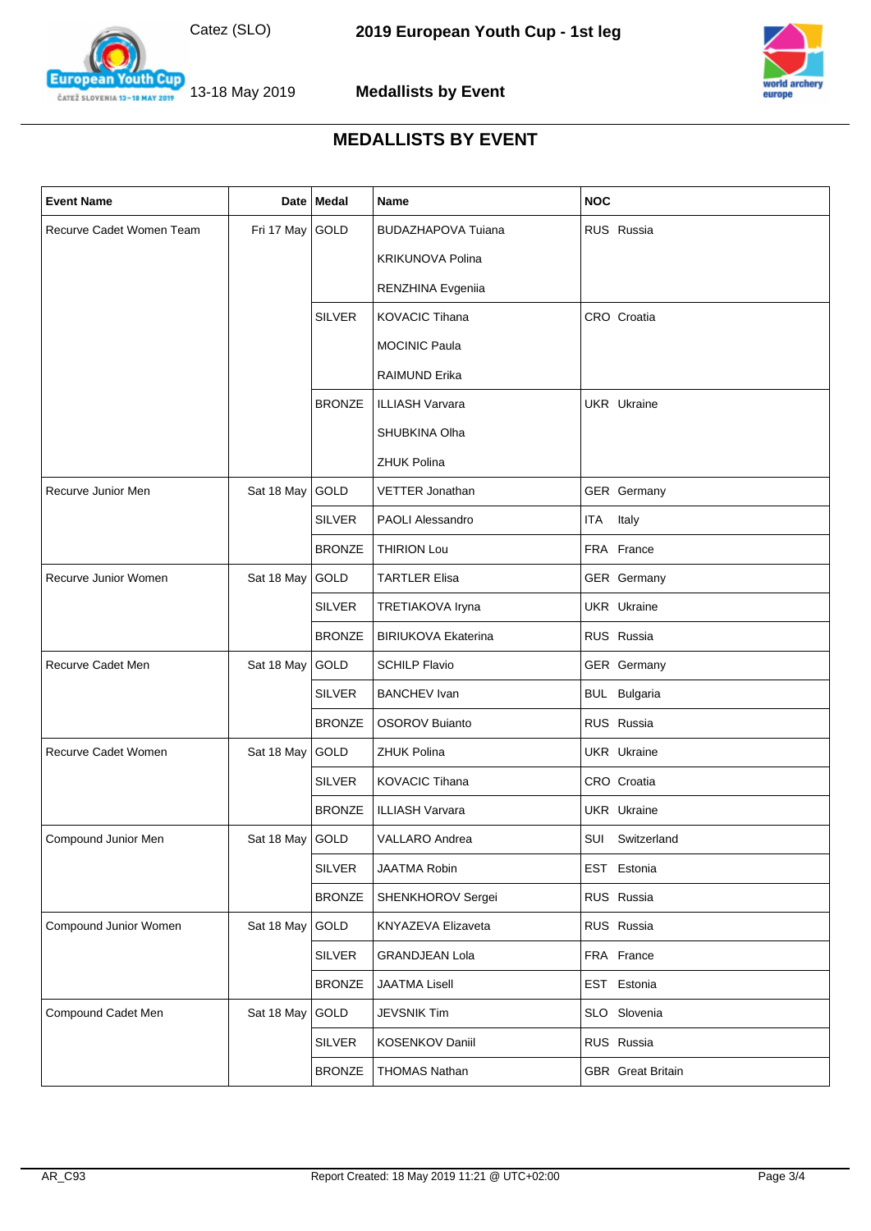



**European Youth Cup** 13-18 May 2019 ČATEŽ SLOVENIA 13-18 MAY 2019

| <b>Event Name</b>        |                   | Date   Medal  | Name                       | <b>NOC</b>               |
|--------------------------|-------------------|---------------|----------------------------|--------------------------|
| Recurve Cadet Women Team | Fri 17 May GOLD   |               | <b>BUDAZHAPOVA Tuiana</b>  | RUS Russia               |
|                          |                   |               | <b>KRIKUNOVA Polina</b>    |                          |
|                          |                   |               | RENZHINA Evgeniia          |                          |
|                          |                   | <b>SILVER</b> | <b>KOVACIC Tihana</b>      | CRO Croatia              |
|                          |                   |               | <b>MOCINIC Paula</b>       |                          |
|                          |                   |               | <b>RAIMUND Erika</b>       |                          |
|                          |                   | <b>BRONZE</b> | <b>ILLIASH Varvara</b>     | <b>UKR</b> Ukraine       |
|                          |                   |               | SHUBKINA Olha              |                          |
|                          |                   |               | <b>ZHUK Polina</b>         |                          |
| Recurve Junior Men       | Sat 18 May GOLD   |               | <b>VETTER Jonathan</b>     | GER Germany              |
|                          |                   | <b>SILVER</b> | <b>PAOLI Alessandro</b>    | ITA Italy                |
|                          |                   | <b>BRONZE</b> | <b>THIRION Lou</b>         | FRA France               |
| Recurve Junior Women     | Sat 18 May        | GOLD          | <b>TARTLER Elisa</b>       | GER Germany              |
|                          |                   | <b>SILVER</b> | TRETIAKOVA Iryna           | <b>UKR</b> Ukraine       |
|                          |                   | <b>BRONZE</b> | <b>BIRIUKOVA Ekaterina</b> | RUS Russia               |
| Recurve Cadet Men        | Sat 18 May        | GOLD          | <b>SCHILP Flavio</b>       | GER Germany              |
|                          |                   | <b>SILVER</b> | <b>BANCHEV Ivan</b>        | <b>BUL Bulgaria</b>      |
|                          |                   | <b>BRONZE</b> | <b>OSOROV Buianto</b>      | RUS Russia               |
| Recurve Cadet Women      | Sat 18 May        | GOLD          | <b>ZHUK Polina</b>         | UKR Ukraine              |
|                          |                   | <b>SILVER</b> | <b>KOVACIC Tihana</b>      | CRO Croatia              |
|                          |                   | <b>BRONZE</b> | <b>ILLIASH Varvara</b>     | <b>UKR</b> Ukraine       |
| Compound Junior Men      | Sat 18 May   GOLD |               | VALLARO Andrea             | SUI Switzerland          |
|                          |                   | <b>SILVER</b> | JAATMA Robin               | EST Estonia              |
|                          |                   | <b>BRONZE</b> | SHENKHOROV Sergei          | RUS Russia               |
| Compound Junior Women    | Sat 18 May        | GOLD          | KNYAZEVA Elizaveta         | RUS Russia               |
|                          |                   | <b>SILVER</b> | <b>GRANDJEAN Lola</b>      | FRA France               |
|                          |                   | <b>BRONZE</b> | <b>JAATMA Lisell</b>       | EST Estonia              |
| Compound Cadet Men       | Sat 18 May        | GOLD          | <b>JEVSNIK Tim</b>         | SLO Slovenia             |
|                          |                   | <b>SILVER</b> | KOSENKOV Daniil            | RUS Russia               |
|                          |                   | <b>BRONZE</b> | <b>THOMAS Nathan</b>       | <b>GBR</b> Great Britain |